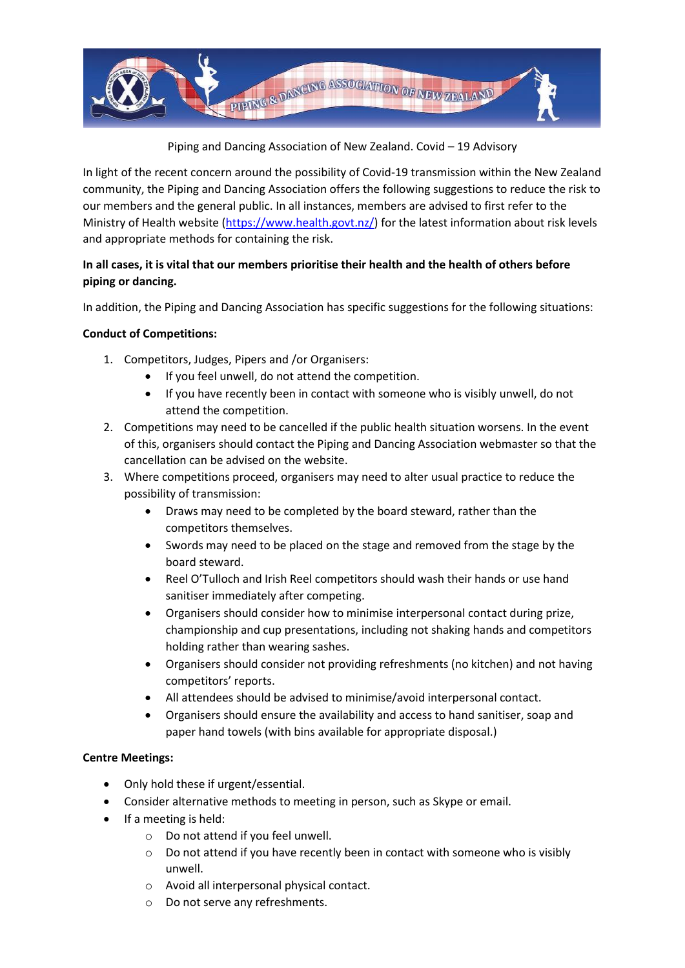

Piping and Dancing Association of New Zealand. Covid – 19 Advisory

In light of the recent concern around the possibility of Covid-19 transmission within the New Zealand community, the Piping and Dancing Association offers the following suggestions to reduce the risk to our members and the general public. In all instances, members are advised to first refer to the Ministry of Health website [\(https://www.health.govt.nz/\)](https://www.health.govt.nz/) for the latest information about risk levels and appropriate methods for containing the risk.

## **In all cases, it is vital that our members prioritise their health and the health of others before piping or dancing.**

In addition, the Piping and Dancing Association has specific suggestions for the following situations:

## **Conduct of Competitions:**

- 1. Competitors, Judges, Pipers and /or Organisers:
	- If you feel unwell, do not attend the competition.
	- If you have recently been in contact with someone who is visibly unwell, do not attend the competition.
- 2. Competitions may need to be cancelled if the public health situation worsens. In the event of this, organisers should contact the Piping and Dancing Association webmaster so that the cancellation can be advised on the website.
- 3. Where competitions proceed, organisers may need to alter usual practice to reduce the possibility of transmission:
	- Draws may need to be completed by the board steward, rather than the competitors themselves.
	- Swords may need to be placed on the stage and removed from the stage by the board steward.
	- Reel O'Tulloch and Irish Reel competitors should wash their hands or use hand sanitiser immediately after competing.
	- Organisers should consider how to minimise interpersonal contact during prize, championship and cup presentations, including not shaking hands and competitors holding rather than wearing sashes.
	- Organisers should consider not providing refreshments (no kitchen) and not having competitors' reports.
	- All attendees should be advised to minimise/avoid interpersonal contact.
	- Organisers should ensure the availability and access to hand sanitiser, soap and paper hand towels (with bins available for appropriate disposal.)

## **Centre Meetings:**

- Only hold these if urgent/essential.
- Consider alternative methods to meeting in person, such as Skype or email.
- If a meeting is held:
	- o Do not attend if you feel unwell.
	- o Do not attend if you have recently been in contact with someone who is visibly unwell.
	- o Avoid all interpersonal physical contact.
	- o Do not serve any refreshments.